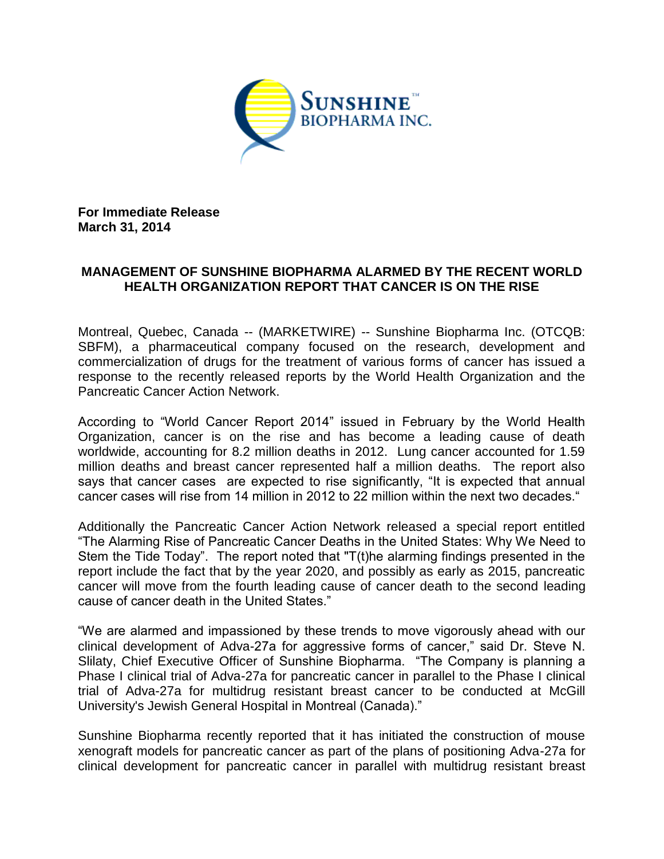

**For Immediate Release March 31, 2014**

## **MANAGEMENT OF SUNSHINE BIOPHARMA ALARMED BY THE RECENT WORLD HEALTH ORGANIZATION REPORT THAT CANCER IS ON THE RISE**

Montreal, Quebec, Canada -- (MARKETWIRE) -- Sunshine Biopharma Inc. (OTCQB: SBFM), a pharmaceutical company focused on the research, development and commercialization of drugs for the treatment of various forms of cancer has issued a response to the recently released reports by the World Health Organization and the Pancreatic Cancer Action Network.

According to "World Cancer Report 2014" issued in February by the World Health Organization, cancer is on the rise and has become a leading cause of death worldwide, accounting for 8.2 million deaths in 2012. Lung cancer accounted for 1.59 million deaths and breast cancer represented half a million deaths. The report also says that cancer cases are expected to rise significantly, "It is expected that annual cancer cases will rise from 14 million in 2012 to 22 million within the next two decades."

Additionally the Pancreatic Cancer Action Network released a special report entitled "The Alarming Rise of Pancreatic Cancer Deaths in the United States: Why We Need to Stem the Tide Today". The report noted that "T(t)he alarming findings presented in the report include the fact that by the year 2020, and possibly as early as 2015, pancreatic cancer will move from the fourth leading cause of cancer death to the second leading cause of cancer death in the United States."

"We are alarmed and impassioned by these trends to move vigorously ahead with our clinical development of Adva-27a for aggressive forms of cancer," said Dr. Steve N. Slilaty, Chief Executive Officer of Sunshine Biopharma. "The Company is planning a Phase I clinical trial of Adva-27a for pancreatic cancer in parallel to the Phase I clinical trial of Adva-27a for multidrug resistant breast cancer to be conducted at McGill University's Jewish General Hospital in Montreal (Canada)."

Sunshine Biopharma recently reported that it has initiated the construction of mouse xenograft models for pancreatic cancer as part of the plans of positioning Adva-27a for clinical development for pancreatic cancer in parallel with multidrug resistant breast